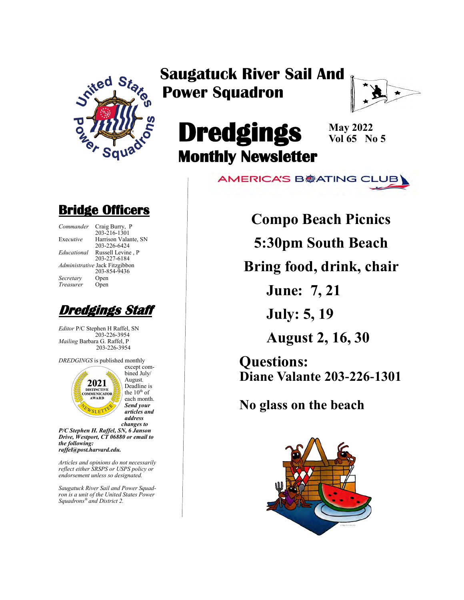

## **Saugatuck River Sail And Power Squadron**



# **Dredgings Monthly Newsletter**

**May 2022 Vol 65 No 5**

**AMERICA'S B参ATING CLUB** 

### **Bridge Officers**

| Commander   | Craig Burry, P                                 |
|-------------|------------------------------------------------|
| Executive   | 203-216-1301<br>Harrison Valan                 |
| Educational | 203-226-6424<br>Russell Levine                 |
|             | 203-227-6184                                   |
|             | Administrative Jack Fitzgibbor<br>203-854-9436 |
| Secretary   | Open                                           |
| Treasurer   | Open                                           |
|             |                                                |

Harrison Valante, SN 203-226-6424 *Educational* Russell Levine , P 203-227-6184 **Jack Fitzgibbon** 203-854-9436 *<u>J</u>pen</sub> Prem* 



*Editor* P/C Stephen H Raffel, SN 203-226-3954 *Mailing* Barbara G. Raffel, P 203-226-3954

*DREDGINGS* is published monthly except com-



bined July/ August*.*  Deadline is the  $10^{th}$  of each month. *Send your articles and address changes to*

*P/C Stephen H. Raffel, SN, 6 Janson Drive, Westport, CT 06880 or email to the following: raffel@post.harvard.edu.*

*Articles and opinions do not necessarily reflect either SRSPS or USPS policy or endorsement unless so designated.*

*Saugatuck River Sail and Power Squadron is a unit of the United States Power Squadrons® and District 2.*

**Compo Beach Picnics**

**5:30pm South Beach**

**Bring food, drink, chair**

**June: 7, 21**

**July: 5, 19**

**August 2, 16, 30**

**Questions: Diane Valante 203-226-1301**

**No glass on the beach**

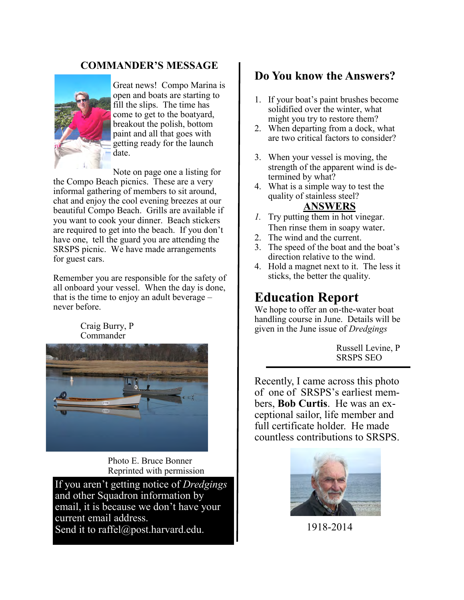#### **COMMANDER'S MESSAGE**



Great news! Compo Marina is open and boats are starting to fill the slips. The time has come to get to the boatyard, breakout the polish, bottom paint and all that goes with getting ready for the launch date.

Note on page one a listing for

the Compo Beach picnics. These are a very informal gathering of members to sit around, chat and enjoy the cool evening breezes at our beautiful Compo Beach. Grills are available if you want to cook your dinner. Beach stickers are required to get into the beach. If you don't have one, tell the guard you are attending the SRSPS picnic. We have made arrangements for guest cars.

Remember you are responsible for the safety of all onboard your vessel. When the day is done, that is the time to enjoy an adult beverage  $$ never before.

#### Craig Burry, P Commander



Photo E. Bruce Bonner Reprinted with permission

If you aren't getting notice of *Dredgings* and other Squadron information by email, it is because we don't have your current email address.

Send it to raffel@post.harvard.edu.

#### **Do You know the Answers?**

- 1. If your boat's paint brushes become solidified over the winter, what might you try to restore them?
- 2. When departing from a dock, what are two critical factors to consider?
- 3. When your vessel is moving, the strength of the apparent wind is determined by what?
- 4. What is a simple way to test the quality of stainless steel?

#### **ANSWERS**

- *1.* Try putting them in hot vinegar. Then rinse them in soapy water.
- 2. The wind and the current.
- 3. The speed of the boat and the boat's direction relative to the wind.
- 4. Hold a magnet next to it. The less it sticks, the better the quality.

### **Education Report**

We hope to offer an on-the-water boat handling course in June. Details will be given in the June issue of *Dredgings*

> Russell Levine, P SRSPS SEO

Recently, I came across this photo of one of SRSPS's earliest members, **Bob Curtis**. He was an exceptional sailor, life member and full certificate holder. He made countless contributions to SRSPS.



1918-2014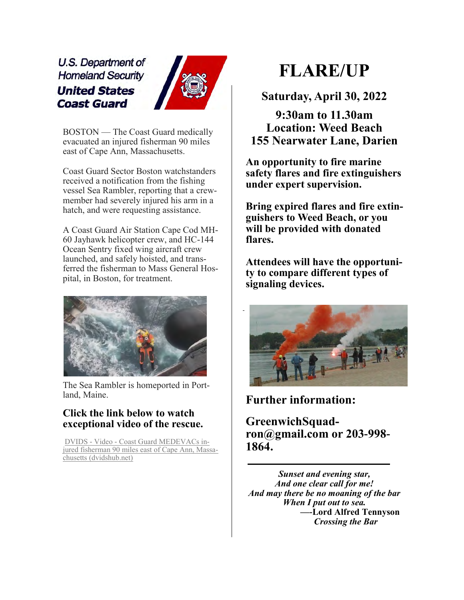U.S. Department of **Homeland Security United States Coast Guard** 



BOSTON — The Coast Guard medically evacuated an injured fisherman 90 miles east of Cape Ann, Massachusetts.

Coast Guard Sector Boston watchstanders received a notification from the fishing vessel Sea Rambler, reporting that a crewmember had severely injured his arm in a hatch, and were requesting assistance.

A Coast Guard Air Station Cape Cod MH-60 Jayhawk helicopter crew, and HC-144 Ocean Sentry fixed wing aircraft crew launched, and safely hoisted, and transferred the fisherman to Mass General Hospital, in Boston, for treatment.



The Sea Rambler is homeported in Portland, Maine.

#### **Click the link below to watch exceptional video of the rescue.**

DVIDS - Video - [Coast Guard MEDEVACs in](https://www.dvidshub.net/video/830231/coast-guard-medevacs-injured-fisherman-90-miles-east-cape-ann-massachusetts)[jured fisherman 90 miles east of Cape Ann, Massa](https://www.dvidshub.net/video/830231/coast-guard-medevacs-injured-fisherman-90-miles-east-cape-ann-massachusetts)[chusetts \(dvidshub.net\)](https://www.dvidshub.net/video/830231/coast-guard-medevacs-injured-fisherman-90-miles-east-cape-ann-massachusetts)

# **FLARE/UP**

**Saturday, April 30, 2022**

**9:30am to 11.30am Location: Weed Beach 155 Nearwater Lane, Darien**

**An opportunity to fire marine safety flares and fire extinguishers under expert supervision.**

**Bring expired flares and fire extinguishers to Weed Beach, or you will be provided with donated flares.**

**Attendees will have the opportunity to compare different types of signaling devices.**



**Further information:** 

**GreenwichSquadron@gmail.com or 203-998- 1864.**

*Sunset and evening star, And one clear call for me! And may there be no moaning of the bar When I put out to sea.* **—-Lord Alfred Tennyson**  *Crossing the Bar*